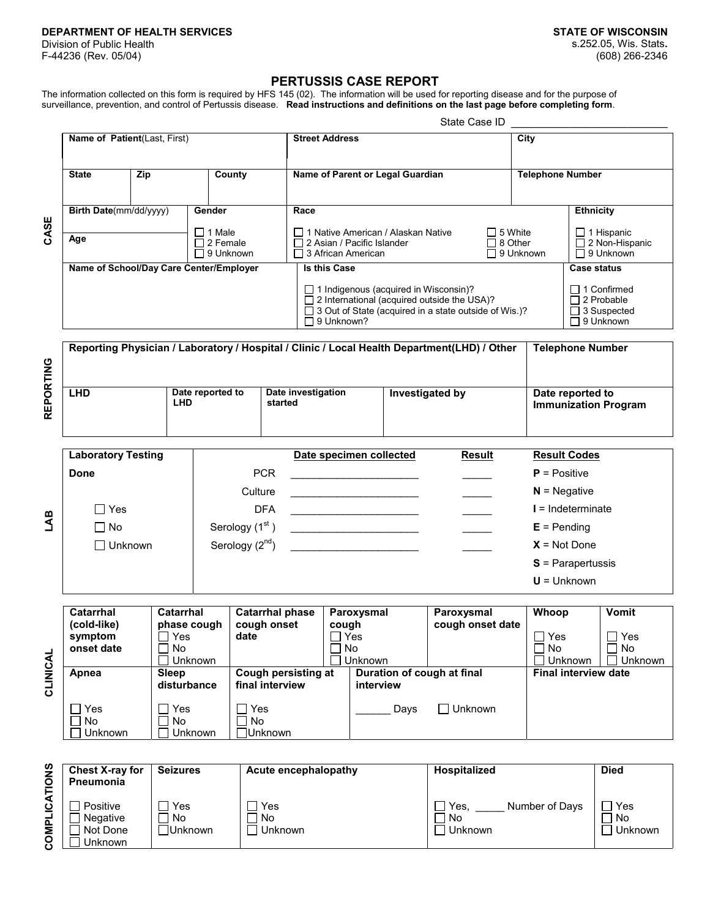## **DEPARTMENT OF HEALTH SERVICES STATE OF WISCONSIN**

Division of Public Health F-44236 (Rev. 05/04)

## **PERTUSSIS CASE REPORT**

The information collected on this form is required by HFS 145 (02). The information will be used for reporting disease and for the purpose of surveillance, prevention, and control of Pertussis disease. **Read instructions and definitions on the last page before completing form**.

|                      |                                                                                             |                                 |                  |                                        |                                                      | State Case ID                                                                                                                                                                      |                                                                                                   |                  |                                                                                   |                                                 |                                    |                                                           |                                       |                    |              |
|----------------------|---------------------------------------------------------------------------------------------|---------------------------------|------------------|----------------------------------------|------------------------------------------------------|------------------------------------------------------------------------------------------------------------------------------------------------------------------------------------|---------------------------------------------------------------------------------------------------|------------------|-----------------------------------------------------------------------------------|-------------------------------------------------|------------------------------------|-----------------------------------------------------------|---------------------------------------|--------------------|--------------|
|                      | Name of Patient(Last, First)                                                                |                                 |                  |                                        |                                                      | <b>Street Address</b>                                                                                                                                                              |                                                                                                   |                  |                                                                                   | City                                            |                                    |                                                           |                                       |                    |              |
| CASE                 | Zip<br><b>State</b>                                                                         |                                 | County           |                                        | Name of Parent or Legal Guardian                     |                                                                                                                                                                                    |                                                                                                   |                  | <b>Telephone Number</b>                                                           |                                                 |                                    |                                                           |                                       |                    |              |
|                      | Birth Date(mm/dd/yyyy)                                                                      |                                 |                  | Gender                                 |                                                      |                                                                                                                                                                                    | Race                                                                                              |                  |                                                                                   |                                                 |                                    | <b>Ethnicity</b>                                          |                                       |                    |              |
|                      | Age                                                                                         |                                 |                  |                                        | $\Box$ 1 Male<br>$\Box$ 2 Female<br>$\Box$ 9 Unknown |                                                                                                                                                                                    | □ 1 Native American / Alaskan Native<br>□ 2 Asian / Pacific Islander<br>$\Box$ 3 African American |                  | $\Box$ 5 White<br>$\Box$ 8 Other<br>$\Box$ 9 Unknown                              |                                                 |                                    | $\Box$ 1 Hispanic<br>□ 2 Non-Hispanic<br>$\Box$ 9 Unknown |                                       |                    |              |
|                      | Name of School/Day Care Center/Employer                                                     |                                 |                  |                                        |                                                      |                                                                                                                                                                                    |                                                                                                   | Is this Case     |                                                                                   |                                                 |                                    |                                                           |                                       | <b>Case status</b> |              |
|                      |                                                                                             |                                 |                  |                                        |                                                      | $\Box$ 1 Indigenous (acquired in Wisconsin)?<br>$\Box$ 2 International (acquired outside the USA)?<br>□ 3 Out of State (acquired in a state outside of Wis.)?<br>$\Box$ 9 Unknown? |                                                                                                   |                  | $\Box$ 1 Confirmed<br>$\Box$ 2 Probable<br>$\Box$ 3 Suspected<br>$\Box$ 9 Unknown |                                                 |                                    |                                                           |                                       |                    |              |
|                      | Reporting Physician / Laboratory / Hospital / Clinic / Local Health Department(LHD) / Other |                                 |                  |                                        |                                                      |                                                                                                                                                                                    |                                                                                                   |                  |                                                                                   |                                                 |                                    |                                                           | <b>Telephone Number</b>               |                    |              |
| REPORTING            | <b>LHD</b><br><b>LHD</b>                                                                    |                                 | Date reported to | started                                |                                                      |                                                                                                                                                                                    | Date investigation<br>Investigated by                                                             |                  |                                                                                   | Date reported to<br><b>Immunization Program</b> |                                    |                                                           |                                       |                    |              |
|                      | <b>Laboratory Testing</b>                                                                   |                                 |                  |                                        | Date specimen collected                              |                                                                                                                                                                                    |                                                                                                   |                  | <b>Result</b>                                                                     | <b>Result Codes</b>                             |                                    |                                                           |                                       |                    |              |
|                      | Done                                                                                        |                                 |                  | <b>PCR</b>                             |                                                      | the control of the control of the control of the control of the control of the control of                                                                                          |                                                                                                   |                  |                                                                                   | $P = Positive$                                  |                                    |                                                           |                                       |                    |              |
|                      |                                                                                             |                                 |                  | Culture                                |                                                      | <u> 1989 - Johann Barbara, martin a</u>                                                                                                                                            |                                                                                                   |                  |                                                                                   |                                                 | $N =$ Negative                     |                                                           |                                       |                    |              |
| ЦAВ                  | $\Box$ Yes                                                                                  |                                 |                  |                                        |                                                      | <b>DFA</b>                                                                                                                                                                         |                                                                                                   |                  |                                                                                   |                                                 | $I = Indeterminate$                |                                                           |                                       |                    |              |
|                      | $\Box$ No                                                                                   |                                 |                  |                                        | Serology (1 <sup>st</sup> )                          |                                                                                                                                                                                    | <u> 1986 - Johann Stein, mars an Francisco Communication (f. 19</u>                               |                  |                                                                                   |                                                 | $E =$ Pending                      |                                                           |                                       |                    |              |
|                      | $\Box$ Unknown                                                                              |                                 |                  |                                        | Serology $(2nd)$                                     |                                                                                                                                                                                    |                                                                                                   |                  |                                                                                   |                                                 |                                    |                                                           | $X = Not Done$<br>$S$ = Parapertussis |                    |              |
|                      |                                                                                             |                                 |                  |                                        |                                                      |                                                                                                                                                                                    |                                                                                                   |                  |                                                                                   |                                                 |                                    | $U =$ Unknown                                             |                                       |                    |              |
|                      | <b>Catarrhal</b>                                                                            |                                 | <b>Catarrhal</b> |                                        |                                                      | <b>Catarrhal phase</b>                                                                                                                                                             |                                                                                                   |                  | Paroxysmal                                                                        |                                                 | Paroxysmal                         |                                                           | Whoop                                 |                    | <b>Vomit</b> |
|                      | (cold-like)<br>phase cough<br>$\Box$ Yes<br>symptom<br>No<br>onset date<br>$\blacksquare$   |                                 |                  | cough onset<br>date                    |                                                      | cough<br>$\Box$ Yes<br>┌<br>No<br>Unknown                                                                                                                                          |                                                                                                   | cough onset date |                                                                                   | $\Box$ Yes<br>No                                | Unknown                            | $\Box$ Yes<br>No<br>$\Box$<br>Unknown<br>$\mathbf{I}$     |                                       |                    |              |
| CLINICAL             | Apnea                                                                                       | Unknown<br>Sleep<br>disturbance |                  | Cough persisting at<br>final interview |                                                      |                                                                                                                                                                                    | Duration of cough at final<br>interview                                                           |                  |                                                                                   |                                                 |                                    |                                                           | <b>Final interview date</b>           |                    |              |
|                      | $\Box$ Yes<br>Yes<br>No<br>No<br>Unknown<br>Unknown                                         |                                 |                  | Yes<br>No<br>Unknown                   |                                                      | П<br>Days                                                                                                                                                                          |                                                                                                   | Unknown          |                                                                                   |                                                 |                                    |                                                           |                                       |                    |              |
|                      |                                                                                             |                                 |                  |                                        |                                                      |                                                                                                                                                                                    |                                                                                                   |                  |                                                                                   |                                                 |                                    |                                                           |                                       |                    |              |
|                      | Chest X-ray for<br><b>Seizures</b><br>Pneumonia                                             |                                 |                  |                                        | <b>Acute encephalopathy</b>                          |                                                                                                                                                                                    | <b>Hospitalized</b>                                                                               |                  |                                                                                   |                                                 | <b>Died</b>                        |                                                           |                                       |                    |              |
| <b>COMPLICATIONS</b> | Positive<br>$\Box$ Yes<br>No<br>Negative<br>Not Done<br>□Unknown<br>Unknown                 |                                 | $\blacksquare$   | Yes<br>No<br>Unknown                   |                                                      | Yes, $\overline{\phantom{a}}$<br>No<br>$\Box$ Unknown                                                                                                                              |                                                                                                   |                  | Number of Days                                                                    |                                                 | $\Box$ Yes<br>No<br>$\Box$ Unknown |                                                           |                                       |                    |              |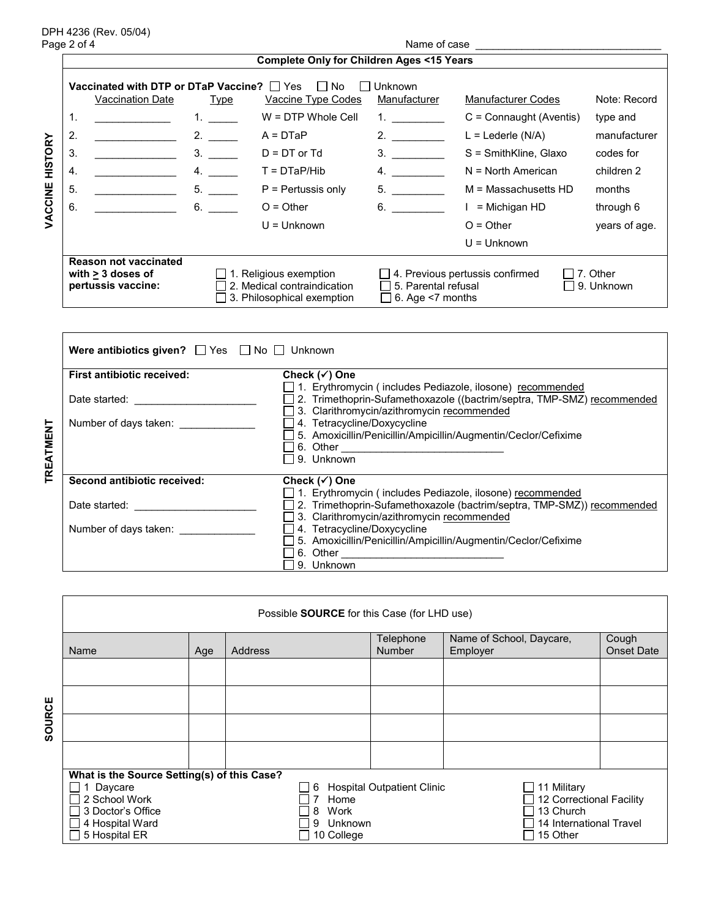DPH 4236 (Rev. 05/04)

Page 2 of 4 Name of case \_\_\_\_\_\_\_\_\_\_\_\_\_\_\_\_\_\_\_\_\_\_\_\_\_\_\_\_\_\_\_\_

٦

|         | <b>Complete Only for Children Ages &lt;15 Years</b> |                                                 |                  |                                                                                            |                                                                                     |                           |                          |  |  |  |  |  |
|---------|-----------------------------------------------------|-------------------------------------------------|------------------|--------------------------------------------------------------------------------------------|-------------------------------------------------------------------------------------|---------------------------|--------------------------|--|--|--|--|--|
|         |                                                     | Vaccinated with DTP or DTaP Vaccine? $\Box$ Yes |                  | l No                                                                                       | Unknown                                                                             |                           |                          |  |  |  |  |  |
|         |                                                     | Vaccination Date                                | Type             | Vaccine Type Codes                                                                         | Manufacturer                                                                        | <b>Manufacturer Codes</b> | Note: Record             |  |  |  |  |  |
|         | 1.                                                  |                                                 | 1. $\frac{1}{1}$ | $W = DTP$ Whole Cell                                                                       | 1. $\qquad \qquad$                                                                  | $C =$ Connaught (Aventis) | type and                 |  |  |  |  |  |
| M<br>D  | 2.                                                  |                                                 | 2.               | $A = DTaP$                                                                                 | 2.                                                                                  | $L =$ Lederle (N/A)       | manufacturer             |  |  |  |  |  |
|         | 3.                                                  |                                                 | 3.               | $D = DT$ or $Td$                                                                           | 3.                                                                                  | S = SmithKline, Glaxo     | codes for                |  |  |  |  |  |
| 50<br>도 | 4.                                                  |                                                 |                  | $T = DTaP/Hib$                                                                             | 4.                                                                                  | $N = North American$      | children 2               |  |  |  |  |  |
| VACCINE | 5.                                                  |                                                 | 5.               | $P =$ Pertussis only                                                                       | 5.                                                                                  | M = Massachusetts HD      | months                   |  |  |  |  |  |
|         | 6.                                                  |                                                 | 6.               | $O = Other$                                                                                | 6.                                                                                  | $I =$ Michigan HD         | through 6                |  |  |  |  |  |
|         |                                                     |                                                 |                  | $U =$ Unknown                                                                              |                                                                                     | $O = Other$               | years of age.            |  |  |  |  |  |
|         |                                                     |                                                 |                  |                                                                                            |                                                                                     | $U =$ Unknown             |                          |  |  |  |  |  |
|         |                                                     | <b>Reason not vaccinated</b>                    |                  |                                                                                            |                                                                                     |                           |                          |  |  |  |  |  |
|         | with $\geq 3$ doses of<br>pertussis vaccine:        |                                                 |                  | $\Box$ 1. Religious exemption<br>2. Medical contraindication<br>3. Philosophical exemption | 4. Previous pertussis confirmed<br>□ 5. Parental refusal<br>$\Box$ 6. Age <7 months |                           | 17. Other<br>19. Unknown |  |  |  |  |  |

|                  | <b>Were antibiotics given?</b> $\Box$ Yes $\Box$ No $\Box$ Unknown |                                                                                                                                                                                     |
|------------------|--------------------------------------------------------------------|-------------------------------------------------------------------------------------------------------------------------------------------------------------------------------------|
|                  | <b>First antibiotic received:</b>                                  | Check $(\checkmark)$ One                                                                                                                                                            |
|                  | Date started: ____________                                         | □ 1. Erythromycin (includes Pediazole, ilosone) recommended<br>2. Trimethoprin-Sufamethoxazole ((bactrim/septra, TMP-SMZ) recommended<br>3. Clarithromycin/azithromycin recommended |
| <b>TREATMENT</b> | Number of days taken: ______________                               | 4. Tetracycline/Doxycycline<br>5. Amoxicillin/Penicillin/Ampicillin/Augmentin/Ceclor/Cefixime<br>9. Unknown                                                                         |
|                  | Second antibiotic received:                                        | Check $(\checkmark)$ One                                                                                                                                                            |
|                  | Date started: ___________                                          | 1. Erythromycin (includes Pediazole, ilosone) recommended<br>2. Trimethoprin-Sufamethoxazole (bactrim/septra, TMP-SMZ)) recommended<br>3. Clarithromycin/azithromycin recommended   |
|                  |                                                                    | 4. Tetracycline/Doxycycline<br>5. Amoxicillin/Penicillin/Ampicillin/Augmentin/Ceclor/Cefixime                                                                                       |
|                  |                                                                    | 9. Unknown                                                                                                                                                                          |

|        | Possible <b>SOURCE</b> for this Case (for LHD use) |     |              |                                   |                                      |                            |
|--------|----------------------------------------------------|-----|--------------|-----------------------------------|--------------------------------------|----------------------------|
|        | Name                                               | Age | Address      | Telephone<br><b>Number</b>        | Name of School, Daycare,<br>Employer | Cough<br><b>Onset Date</b> |
|        |                                                    |     |              |                                   |                                      |                            |
|        |                                                    |     |              |                                   |                                      |                            |
| SOURCE |                                                    |     |              |                                   |                                      |                            |
|        |                                                    |     |              |                                   |                                      |                            |
|        | What is the Source Setting(s) of this Case?        |     |              |                                   |                                      |                            |
|        | Daycare                                            |     | _  6         | <b>Hospital Outpatient Clinic</b> | 11 Military                          |                            |
|        | 2 School Work                                      |     | Home         |                                   | 12 Correctional Facility             |                            |
|        | 3 Doctor's Office                                  |     | Work<br>8    |                                   | 13 Church                            |                            |
|        | 4 Hospital Ward                                    |     | Unknown<br>9 |                                   | 14 International Travel              |                            |
|        | 5 Hospital ER                                      |     | 10 College   |                                   | 15 Other                             |                            |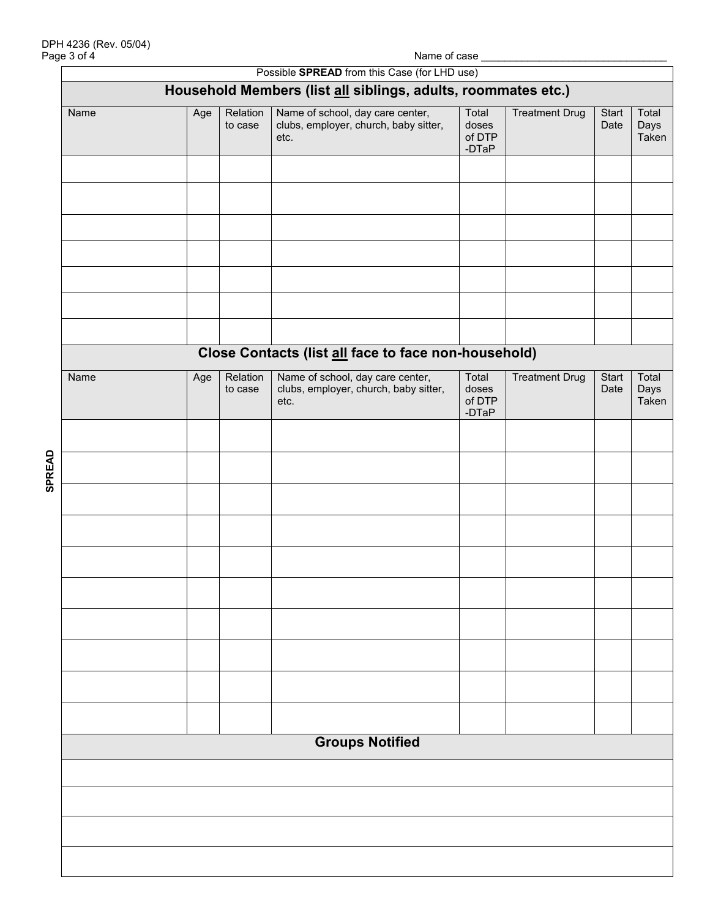|               | Page 3 of 4            |     |                     |                                                                                   | Name of case _                      |                       |               |                        |  |
|---------------|------------------------|-----|---------------------|-----------------------------------------------------------------------------------|-------------------------------------|-----------------------|---------------|------------------------|--|
|               |                        |     |                     | Possible <b>SPREAD</b> from this Case (for LHD use)                               |                                     |                       |               |                        |  |
|               |                        |     |                     | Household Members (list all siblings, adults, roommates etc.)                     |                                     |                       |               |                        |  |
|               | Name                   | Age | Relation<br>to case | Name of school, day care center,<br>clubs, employer, church, baby sitter,<br>etc. | Total<br>doses<br>of DTP<br>$-DTaP$ | <b>Treatment Drug</b> | Start<br>Date | Total<br>Days<br>Taken |  |
|               |                        |     |                     |                                                                                   |                                     |                       |               |                        |  |
|               |                        |     |                     |                                                                                   |                                     |                       |               |                        |  |
|               |                        |     |                     | Close Contacts (list all face to face non-household)                              |                                     |                       |               |                        |  |
|               | Name                   | Age | Relation<br>to case | Name of school, day care center,<br>clubs, employer, church, baby sitter,<br>etc. | Total<br>doses<br>of DTP<br>$-DTaP$ | <b>Treatment Drug</b> | Start<br>Date | Total<br>Days<br>Taken |  |
|               |                        |     |                     |                                                                                   |                                     |                       |               |                        |  |
| <b>SPREAD</b> |                        |     |                     |                                                                                   |                                     |                       |               |                        |  |
|               |                        |     |                     |                                                                                   |                                     |                       |               |                        |  |
|               |                        |     |                     |                                                                                   |                                     |                       |               |                        |  |
|               |                        |     |                     |                                                                                   |                                     |                       |               |                        |  |
|               |                        |     |                     |                                                                                   |                                     |                       |               |                        |  |
|               |                        |     |                     |                                                                                   |                                     |                       |               |                        |  |
|               |                        |     |                     |                                                                                   |                                     |                       |               |                        |  |
|               |                        |     |                     |                                                                                   |                                     |                       |               |                        |  |
|               | <b>Groups Notified</b> |     |                     |                                                                                   |                                     |                       |               |                        |  |
|               |                        |     |                     |                                                                                   |                                     |                       |               |                        |  |
|               |                        |     |                     |                                                                                   |                                     |                       |               |                        |  |
|               |                        |     |                     |                                                                                   |                                     |                       |               |                        |  |
|               |                        |     |                     |                                                                                   |                                     |                       |               |                        |  |